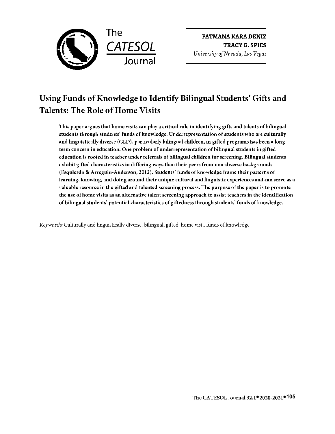

**FATMANA KARA DENIZ TRACY** G. **SPIES**  *University of Nevada, Las Vegas* 

# Using Funds of Knowledge to Identify Bilingual Students' Gifts and Talents: The Role of Home Visits

This paper argues that home visits can play a critical role in identifying gifts and talents of bilingual students through students' funds of knowledge. Underrepresentation of students who arc culturally and linguistically diverse (CLD), particularly bilingual children, in gifted programs has been a longterm concern in education. One problem of underrepresentation of bilingual students in gifted education is rooted in teacher under referrals of bilingual children for screening. Bilingual students exhibit gifted characteristics in differing ways than their peers from non-diverse backgrounds {Esquierdo & Arreguin-Anderson, 2012). Students' funds of knowledge frame their patterns of learning, knowing, and doing around their unique cultural and linguistic experiences and can serve as a valuable resource in the gifted and talented screening process. The purpose of the paper is to promote the use of home visits as an alternative talent screening approach to assist teachers in the identification of bilingual students' potential characteristics of giftedness through students' funds of knowledge.

*Keywords:* Culturally and linguistically diverse, bilingual, gifted, home visit, funds of knowledge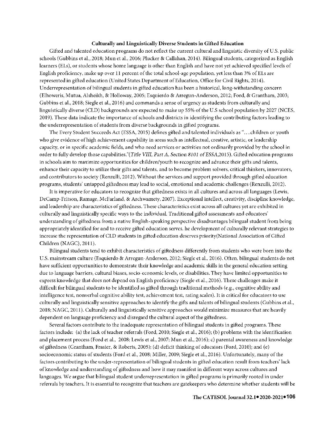#### **Culturally and Linguistically Diverse Students in Gifted Education**

Gifted and talented education programs do not reflect the current cultural and linguistic diversity of U.S. public schools (Gubbins ct al., 2018; Mun et al., 2016; Plucker & Callahan, 2014). Bilingual students, categorized as English learners (Els), or students whose home language is other than English and have not yet achieved specified levels of English proficiency, make up over 11 percent of the total school-age population, yet less than 3% of Els are represented in gifted education (United States Department of Education, Office for Civil Rights, 2014). Underrepresentation of bilingual students in gifted education has been a historical, long-withstanding concern (Elhoweris, Mutua, Alsheikh, & Holloway, 2005; Esquierdo & Arregun-Anderson, 2012; Ford, & Grantham, 2003; Gubbins et al., 2018; Siegle et al., 2016) and commands a sense of urgency as students from culturally and linguistically diverse (CLD) backgrounds are expected to make up 55% of the U.S school population by 2027 (NCES, 2019). These data indicate the importance of schools and districts in identifying the contributing factors leading to the underrepresentation of students from diverse backgrounds in gifted programs.

The Every Student Succeeds Act (ESSA, 2015) defines gifted and talented individuals as" .... children or youth who give evidence of high achievement capability in areas such as intellectual, creative, artistic, or leadership capacity, or in specific academic fields, and who need services or activities not ordinarily provided by the school in order to fully develop those capabilities."(Title *VIII,* Part *A, Section 8101 of* ESSA,2015). Gifted education programs in schools aim to maximize opportunities for children/youth to recognize and advance their gifts and talents, enhance their capacity to utilize their gifts and talents, and to become problem solvers, critical thinkers, innovators, and contributors to society (Renzulli, 2012). Without the services and support provided through gifted education programs, students' untapped giftedness may lead to social, emotional and academic challenges (Renzulli, 2012).

It is imperative for educators to recognize that giftedness exists in all cultures and across all languages (Lewis, DeCamp-Fritson, Ramage, McFarland, & Archwamety, 2007). Exceptional intellect, creativity, discipline knowledge, and leadership are characteristics of giftedness. These characteristics exist across all cultures yet are exhibited in culturally and linguistically specific ways to the individual. Traditional gifted assessments and educators' understanding of giftedness from a native English-speaking perspective disadvantages bilingual student from being appropriately identified for and to receive gifted education serves. he development of culturally relevant strategies to increase the representation of CLD students in gifted education deserves priority(National Association of Gifted Children (NAGC), 20ll).

Bilingual students tend to exhibit characteristics of giftedness differently from students who were born into the U.S. mainstream culture (Esquierdo & Arregun-Anderson, 2012; Siegle ct al., 2016). Often, bilingual students do not have sufficient opportunities to demonstrate their knowledge and academic skills in the general education setting due to language barriers, cultural biases, socio-economic levels, or disabilities. They have limited opportunities to express knowledge that does not depend on English proficiency (Siegle et al., 2016). These challenges make it difficult for bilingual students to be identified as gifted through traditional methods ( e.g., cognitive ability and intelligence test, nonverbal cognitive ability test, achievement test, rating scales). It is critical for educators to use culturally and linguistically sensitive approaches to identify the gifts and talents of bilingual students ( Gubbins et al., 2018; NAGC, 20ll). Culturally and linguistically sensitive approaches would minimize measures that arc heavily dependent on language proficiency and disregard the cultural aspect of the giftedness.

Several factors contribute to the inadequate representation of bilingual students in gifted programs. These factors include: (a) the lack of teacher referrals (Ford, 2010; Siegle et al., 2016); (b) problems with the identification and placement process (Ford et al., 2008; Lewis et al., 2007; Mun et al., 2016); c) parental awareness and knowledge of giftedness (Grantham, Frasier, & Roberts, 2005); (d) deficit thinking of educators (Ford, 2010); and (e) socioeconomic status of students (Ford et al., 2008; Miller, 2009; Siegle et al., 2016). Unfortunately, many of the factors contributing to the under-representation of bilingual students in gifted education result from teachers' lack of knowledge and understanding of giftedness and how it may manifest in different ways across cultures and languages. We argue that bilingual student underrepresentation in gifted programs is primarily rooted in under referrals by teachers. It is essential to recognize that teachers are gatekeepers who determine whether students will be

**● ●106 The CA TESOL Journal 32.1** 2020-2021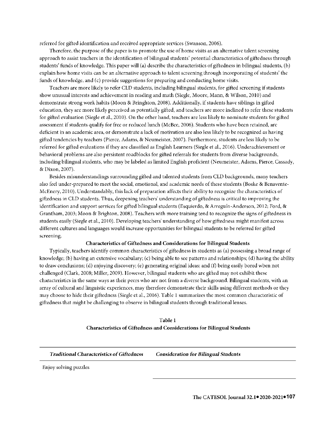referred for gifted identification and received appropriate services (Swanson, 2006).

Therefore, the purpose of the paper is to promote the use of home visits as an alternative talent screening approach to assist teachers in the identification of bilingual students' potential characteristics of giftedness through students' funds of knowledge. This paper will (a) describe the characteristics of giftedness in bilingual students, (b) explain how home visits can be an alternative approach to talent screening through incorporating of students' the funds of knowledge, and (c) provide suggestions for preparing and conducting home visits.

Teachers are more likely to refer CLD students, including bilingual students, for gifted screening if students show unusual interests and achievement in reading and math (Siegle, Moore, Mann, & Wilson, 2010) and demonstrate strong work habits (Moon & Bringhton, 2008). Additionally, if students have siblings in gifted education, they are more likely perceived as potentially gifted, and teachers are more inclined to refer these students for gifted evaluation (Siegle et al., 2010). On the other hand, teachers are less likely to nominate students for gifted assessment if students qualify for free or reduced lunch (McBee, 2006). Students who have been retained, are deficient in an academic area, or demonstrate a lack of motivation are also less likely to be recognized as having gifted tendencies by teachers (Pierce, Adams, & Neumeister, 2007). Furthermore, students are less likely to be referred for gifted evaluations if they are classified as English Learners (Siegle et al., 2016). Underachievement or behavioral problems are also persistent roadblocks for gifted referrals for students from diverse backgrounds, including bilingual students, who may be labeled as limited English proficient (Neumeister, Adams, Pierce, Cassady, & Dixon, 2007).

Besides misunderstandings surrounding gifted and talented students from CLD backgrounds, many teachers also feel under-prepared to meet the social, emotional, and academic needs of these students (Boske & Benavente-McEnery, 2010). Understandably, this lack of preparation affects their ability to recognize the characteristics of giftedness in CLD students. Thus, deepening teachers' understanding of giftedness is critical to improving the identification and support services for gifted bilingual students (Esquierdo, & Arreguin-Anderson, 2012; Ford, & Grantham, 2003; Moon & Brighton, 2008). Teachers with more training tend to recognize the signs of giftedness in students easily (Siegle et al., 2010). Developing teachers' understanding of how giftedness might manifest across different cultures and languages would increase opportunities for bilingual students to be referred for gifted screening.

#### **Characteristics** of **Giftedness and Considerations for Bilingual Students**

Typically, teachers identify common characteristics of giftedness in students as (a) possessing a broad range of knowledge; (b) having an extensive vocabulary; (c) being able to see patterns and relationships; (d) having the ability to draw conclusions; (d) enjoying discovery; (e) generating original ideas; and (f) being easily bored when not challenged (Clark, 2008; Miller, 2009). However, bilingual students who are gifted may not exhibit these characteristics in the same ways as their peers who are not from a diverse background. Bilingual students, with an array of cultural and linguistic experiences, may therefore demonstrate their skills using different methods or they may choose to hide their giftedness (Siegle et al., 2016). Table 1 summarizes the most common characteristic of giftedness that might be challenging to observe in bilingual students through traditional lenses.

> **Table** 1 **Characteristics of Giftedness and Considerations for Bilingual Students**

*Traditional Characteristics of Giftedness Consideration* **for** *Bilingual Students* 

Enjoy solving puzzles

**● ●107** The CA TESOL Journal 32.1 2020-2021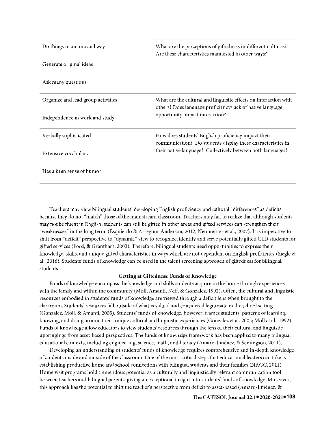| Do things in an unusual way        | What are the perceptions of giftedness in different cultures?<br>Are these characteristics manifested in other ways?          |
|------------------------------------|-------------------------------------------------------------------------------------------------------------------------------|
| Generate original ideas            |                                                                                                                               |
| Ask many questions                 |                                                                                                                               |
| Organize and lead group activities | What are the cultural and linguistic effects on interaction with<br>others? Does language proficiency/lack of native language |
| Independence in work and study     | opportunity impact interaction?                                                                                               |
| Verbally sophisticated             | How does students' English proficiency impact their<br>communication? Do students display these characteristics in            |
| Extensive vocabulary               | their native language? Collectively between both languages?                                                                   |
| Has a keen sense of humor          |                                                                                                                               |

Teachers may view bilingual students' developing English proficiency and cultural "differences" as deficits because they do not "match" those of the mainstream classroom. Teachers may fail to realize that although students may not be fluent in English, students can still be gifted in other areas and gifted services can strengthen their "weaknesses" in the long term. (Esquierdo & Arreguin-Anderson, 2012; Neumeister et al., 2007). It is imperative to shift from "deficit" perspective to "dynamic" view to recognize, identify and serve potentially gifted CLD students for gifted services (Ford, & Grantham, 2003). Therefore, bilingual students need opportunities to express their knowledge, skills, and unique gifted characteristics in ways which are not dependent on English proficiency (Siegle et al., 2016). Students' funds of knowledge can be used in the talent screening approach of giftedness for bilingual students.

# **Getting at Giftedness: Funds of Knowledge**

Funds of knowledge encompass the knowledge and skills students acquire in the home through experiences with the family and within the community (Moll, Amanti, Neff, & Gonzalez, 1992). Often, the cultural and linguistic resources embodied in students' funds of knowledge are viewed through a deficit lens when brought to the classroom. Students' resources fall outside of what is valued and considered legitimate in the school setting (Gonzalez, Moll, & Amanti, 2005). Students' funds of knowledge, however, frames students' patterns of learning, knowing, and doing around their unique cultural and linguistic experiences (Gonzalez et al. 2005; Moll et al., 1992). Funds of knowledge allow educators to view students' resources through the lens of their cultural and linguistic upbringings from asset-based perspectives. The funds of knowledge framework has been applied to many bilingual educational contexts, including engineering, science, math, and literacy (Amaro-Jiménez, & Semingson, 2011).

Developing an understanding of students' funds of knowledge requires comprehensive and in-depth knowledge of students inside and outside of the classroom. One of the most critical steps that educational leaders can take is establishing productive home and school connections with bilingual students and their families (NAGC, 2011). Home visit programs hold tremendous potential as a culturally and linguistically relevant communication tool between teachers and bilingual parents, giving an exceptional insight into students' funds of knowledge. Moreover, this approach has the potential to shift the teacher's perspective from deficit to asset-based (Amaro-Jimenez, &

## **● ●108 The CA TESOL Journal 32.1** 2020-2021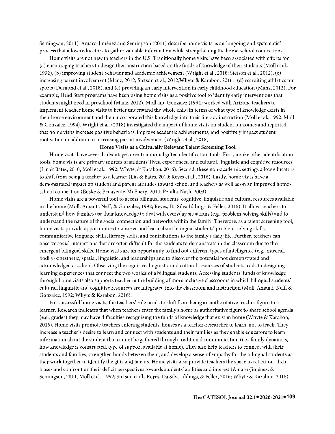Semingson, 2011). Amaro-Jimenez and Semingson (2011) describe home visits as an "ongoing and systematic" process that allows educators to gather valuable information while strengthening the home-school connections.

Home visits are not new to teachers in the U.S. Traditionally home visits have been associated with efforts for (a) encouraging teachers to design their instruction based on the funds of knowledge of their students (Moll et al., 1992), (b) improving student behavior and academic achievement (Wright et al., 2018; Stetson et al., 2012), (c) increasing parent involvement (Manz, 2012; Stetson et al., 2012;Whyte & Karabon, 2016), (d) recruiting athletics for sports (Dumond et al., 2018), and (e) providing an early intervention in early childhood education (Manz, 2012). For example, Head Start programs have been using home visits as a positive tool to identify early interventions that students might need in preschool (Manz, 2012). Moll and Gonzalez (1994) worked with Arizona teachers to implement teacher home visits to better understand the whole child in terms of what type of knowledge exists in their home environment and then incorporated this knowledge into their literacy instruction (Moll et al., 1992; Moll & Gonzalez, 1994). Wright et al. (2018) investigated the impact of home visits on student outcomes and reported that home visits increase positive behaviors, improve academic achievements, and positively impact student motivation in addition to increasing parent involvement (Wright et al., 2018).

## **Home Visits as a Culturally Relevant Talent Screening Tool**

Home visits have several advantages over traditional gifted identification tools. First, unlike other identification tools, home visits are primary sources of students' lives, experiences, and cultural, linguistic and cognitive resources (Lin & Bates, 2010; Moll et al., 1992; Whyte, & Karabon, 2016). Second, these non-academic settings allow educators to shift from being a teacher to a learner (Lin & Bates, 2010; Reyes et al., 2016). Lastly, home visits have a demonstrated impact on student and parent attitudes toward school and teachers as well as on an improved homeschool connection (Boske & Benavente-McEnery, 2010; Peralta-Nash, 2003).

Home visits are a powerful tool to access bilingual students' cognitive, linguistic and cultural resources available in the home (Moll, Amanti, Neff, & Gonzalez, I 992; Reyes, Da Silva Iddings, & Feller, 2016). It allows teachers to understand how families use their knowledge to deal with everyday situations (e.g., problem-solving skills) and to understand the nature of the social connection and networks within the family. Therefore, as a talent screening tool, home visits provide opportunities to observe and learn about bilingual students' problem-solving skills, communicative language skills, literacy skills, and contributions to the family's daily life. Further, teachers can observe social interactions that are often difficult for the students to demonstrate in the classroom due to their emergent bilingual skills. Home visits are an opportunity to find out different types of intelligence (e.g., musical, bodily-kinesthetic, spatial, linguistic, and leadership) and to discover the potential not demonstrated and acknowledged at school. Observing the cognitive, linguistic and cultural resources of students leads to designing learning experiences that connect the two worlds of a bilingual students. Accessing students' funds of knowledge through home visits also supports teacher in the building of more inclusive classrooms in which bilingual students' cultural, linguistic and cognitive resources are integrated into the classroom and instruction (Moll, Amanti, Neff, & Gonzalez, 1992; Whyte & Karabon, 2016).

For successful home visits, the teachers' role needs to shift from being an authoritative teacher figure to a learner. Research indicates that when teachers enter the family's home as authoritative figure to share school agenda ( e.g., grades) they may have difficulties recognizing the funds of knowledge that exist in home (Whyte & Karabon, 2016). Horne visits promote teachers entering students' houses as a teacher-researcher to learn, not to teach. They increase a teacher's desire to learn and connect with students and their families as they enable educators to learn information about the student that cannot be gathered through traditional communication (i.e., family dynamics, how knowledge is constructed, type of support available at home). They also help teachers to connect with their students and families, strengthen bonds between them, and develop a sense of empathy for the bilingual students as they work together to identify the gifts and talents. Horne visits also provide teachers the space to reflect on their biases and confront on their deficit perspectives towards students' abilities and interest (Amaro-Jimenez, & Semingson, 2011, Moll et al., 1992; Stetson et al., Reyes, Da Silva Iddings, & Feller, 2016; Whyte & Karabon, 2016).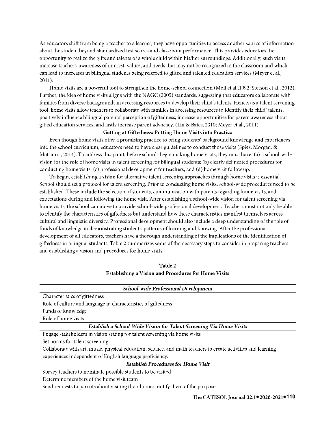As educators shift from being a teacher to a learner, they have opportunities to access another source of information about the student beyond standardized test scores and classroom performance. This provides educators the opportunity to realize the gifts and talents of a whole child within his/her surroundings. Additionally, such visits increase teachers' awareness of interest, values, and needs that may not be recognized in the classroom and which can lead to increases in bilingual students being referred to gifted and talented education services (Meyer et al., 2011).

Home visits are a powerful tool to strengthen the home-school connection (Moll et al.,1992; Stetson et al., 2012). Further, the idea of home visits aligns with the NAGC (2005) standards, suggesting that educators collaborate with families from diverse backgrounds in accessing resources to develop their child's talents. Hence, as a talent screening tool, home visits allow teachers to collaborate with families in accessing resources to identify their child' talents, positively influence bilingual parents' perception of giftedness, increase opportunities for parent awareness about gifted education services, and lastly increase parent advocacy. (Lin & Bates, 2010; Meyer et al., 2011).

# **Getting at Giftedness: Putting Home Visits into Practice**

Even though home visits offer a promising practice to bring students' background knowledge and experiences into the school curriculum, educators need to have clear guidelines to conduct those visits (Spies, Morgan, & Matsuura, 2014), To address this point, before schools begin making home visits, they must have: (a) a school-wide vision for the role of home visits in talent screening for bilingual students; (b) clearly delineated procedures for conducting home visits; (c) professional development for teachers; and (d) home visit follow up.

To begin, establishing a vision for alternative talent screening approaches through home visits is essential. School should set a protocol for talent screening. Prior to conducting home visits, school-wide procedures need to be established. These include the selection of students, communication with parents regarding home visits, and expectations during and following the home visit. After establishing a school-wide vision for talent screening via home visits, the school can move to provide school-wide professional development. Teachers must not only be able to identify the characteristics of giftedness but understand how these characteristics manifest themselves across cultural and linguistic diversity. Professional development should also include a deep understanding of the role of funds of knowledge in demonstrating students' patterns of learning and knowing. After the professional development of all educators, teachers have a thorough understanding of the implications of the identification of giftedness in bilingual students. Table 2 summarizes some of the necessary steps to consider in preparing teachers and establishing a vision and procedures for home visits.

**Table2 Establishing a Vision and Procedures for Home Visits** 

| School-wide Professional Development                                                                          |  |
|---------------------------------------------------------------------------------------------------------------|--|
| Characteristics of giftedness                                                                                 |  |
| Role of culture and language in characteristics of giftedness                                                 |  |
| Funds of knowledge                                                                                            |  |
| Role of home visits                                                                                           |  |
| Establish a School-Wide Vision for Talent Screening Via Home Visits                                           |  |
| Engage stakeholders in vision setting for talent screening via home visits                                    |  |
| Set norms for talent screening                                                                                |  |
| Collaborate with art, music, physical education, science, and math teachers to create activities and learning |  |
| experiences independent of English language proficiency.                                                      |  |
| <b>Establish Procedures for Home Visit</b>                                                                    |  |
| Survey teachers to nominate possible students to be visited                                                   |  |

Determine members of the home visit team

Send requests to parents about visiting their homes; notify them of the purpose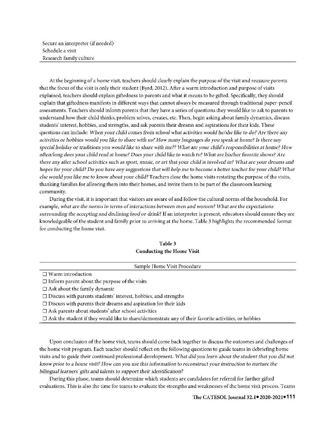Secure an interpreter (if needed) Schedule a visit Research family culture

At the beginning of a home visit, teachers should clearly explain the purpose of the visit and reassure parents that the focus of the visit is only their student (Byrd, 2012). After a warm introduction and purpose of visits explained, teachers should explain giftedness to parents and what **it** means to be gifted. Specifically, they should explain that giftedness manifests in different ways that cannot always be measured through traditional paper-pencil assessments. Teachers should inform parents that they have a series of questions they would like to ask to parents to understand how their child thinks, problem solves, creates, etc. Then, begin asking about family dynamics, discuss students' interest, hobbies, and strengths, and ask parents their dreams and aspirations **for** their kids. These questions can include: When your child comes from school what activities would he/she like to do? Are there any *activities or hobbies would you like to share ttritli us? How many* languages *do you speak* at *home? Is there a11y special holiday or traditions you would like to share witli me?? What arc your child's responsibilities at home? How ofte11/lo11g does your child read at home? Does your child like to watch tv? What* are *his/her favorite shows? Are there* any *after school activities such as sport,* music, *or art tliat your child is involved in? What arc your dreams* and *hopes for your child? Do you have any suggestions that will help me to become a better teacher for your child? What else would you like me to know about your child?* Teachers close the home visits restating the purpose of the visits, thanking families for allowing them into their homes, and invite them to be part of the classroom learning community.

During the visit, it is important that visitors are aware of and follow the cultural norms of the household. For example, *what* are *the norms in terms* of *interactions between men and women? What* are *the expectations surrounding the accepting and declining food or drink?* If an interpreter is present, educators should ensure they are knowledgeable of the student and family prior to arriving at the home. Table 3 highlights the recommended format for conducting the home visit.

| Table 3                          |  |
|----------------------------------|--|
| <b>Conducting the Home Visit</b> |  |

| Sample Home Visit Procedure                                                                                 |  |
|-------------------------------------------------------------------------------------------------------------|--|
| $\Box$ Warm introduction                                                                                    |  |
| $\Box$ Inform parent about the purpose of the visits                                                        |  |
| $\Box$ Ask about the family dynamic                                                                         |  |
| $\Box$ Discuss with parents students' interest, hobbies, and strengths                                      |  |
| $\Box$ Discuss with parents their dreams and aspiration for their kids                                      |  |
| $\Box$ Ask parents about students' after school activities                                                  |  |
| $\Box$ Ask the student if they would like to share/demonstrate any of their favorite activities, or hobbies |  |

Upon conclusion of the home visit, teams should come back together to discuss the outcomes and challenges of the home visit program. Each teacher should reflect on the following questions to guide teams in debriefing home visits and to guide their continued professional development. *What did you learn about the student that you* did *not know prior to* a *lwmc visit? How can you use tliis information to reconstruct your instruction to nurture the*  bilingual learners' gifts and talents to support their identification?

During this phase, teams should determine which students are candidates for referral for further gifted evaluations. This is also the time for teams to evaluate the strengths and weaknesses of the home visit process. Teams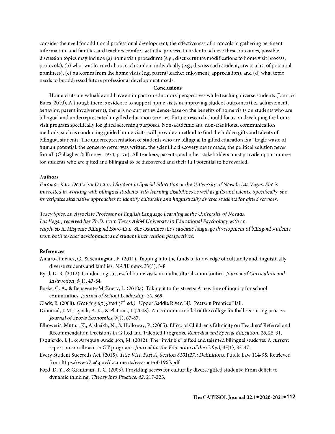consider the need for additional professional development, the effectiveness of protocols in gathering pertinent information, and families and teachers comfort with the process. In order to achieve these outcomes, possible discussion topics may include (a) home visit procedures (e.g., discuss future modifications to home visit process, protocols), (b) what was learned about each student individually (e.g., discuss each student, create a list of potential nominees), (c) outcomes from the home visits (e.g. parent/teacher enjoyment, appreciation), and (d) what topic needs to be addressed future professional development needs.

#### **Conclusions**

Home visits are valuable and have an impact on educators' perspectives while teaching diverse students (Linn, & Bates, 2010). Although there is evidence to support home visits in improving student outcomes (i.e., achievement, behavior, parent involvement), there is no current evidence-base on the benefits of home visits on students who are bilingual and underrepresented in gifted education services. Future research should focus on developing the home visit program specifically for gifted screening purposes. Non-academic and non-traditional communication methods, such as conducting guided home visits, will provide a method to find the hidden gifts and talents of bilingual students. The underrepresentation of students who are bilingual in gifted education is a "tragic waste of human potential: the concerto never was written, the scientific discovery never made, the political solution never found" (Gallagher & Kinney, 1974, p. vii). All teachers, parents, and other stakeholders must provide opportunities for students who are gifted and bilingual to be discovered and their **full** potential to be revealed.

# **Authors**

*Fatmana* Kara *Deniz is* a *Doctoral Student in Special Education at the University of Nevada Las Vegas. Slie is*  interested in working with bilingual students with learning disabilities as well as gifts and talents. Specifically, she *investigates alternative approaches to identify culturally and linguistically diverse students for gifted services.* 

*Tracy* Spies, an *Associate Professor of English Language Learning at the University of Nevada*  Las Vegas, received her Ph.D. from *Texas A&M University in Educational Psychology with an emphasis in Hispanic Bilingual Education. She examines the academic* language *development of bilingual students*  from *both teacher development* and *student intervention perspectives.* 

#### **References**

- Amaro-Jimenez, C., & Semingson, P. (2011 ). Tapping into the funds of knowledge of culturally and linguistically diverse students and families. *NABB news,* 33(5), 5-8.
- Byrd, D. R. (2012). Conducting successful home visits in multicultural communities. *Journal of Curriculum and Instruction, 6(1), 43-54.*
- Boske, C. A., & Benavente-McEnery, L. (2010a). Taking **it** to the streets: A new line of inquiry for school communities. *Journal of School Leadership, 20,* 369.
- Clark, B. (2008). *Growing up gifted* (7h *ed.)* Upper Saddle River, NJ: Pearson Prentice Hall.
- Dumond, J.M., Lynch, A. K., & Platania, J. (2008). An economic model of the college football recruiting process. *Journal of Sports Economics,* 9(1 ), 67-87.
- Elhoweris, Mutua, K., Alsheikh, N., & Holloway, P. (2005). Effect of Children's Ethnicity on Teachers' Referral and Recommendation Decisions in Gifted and Talented Programs. *Remedial and Special Education, 26,* 25-31.
- Esquierdo, J. J., & Arreguin-Anderson, M. (2012). The "invisible" gifted and talented bilingual students: A current report on enrollment in GT programs. *Journal* for *the Education* of *the Gifted,* 35(1), 35-47.
- Every Student Succeeds Act. (2015). *Title VIII, Part A, Section 8101 (27): Definitions,* Public Law 114-95. Retrieved from https:/ /www2.ed.gov/documents/essa-act-of-l 965.pdf
- Ford, D. Y., & Grantham, T. C. (2003). Providing access for culturally diverse gifted students: From deficit to dynamic thinking. *Theory into Practice*, 42, 217-225.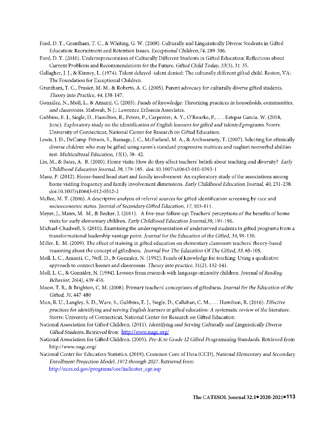- Ford, D. **Y.,** Grantham, T. C., & Whiting, G. W. (2008). Culturally and Linguistically Diverse Students **in** Gifted Education: Recruitment and Retention Issues. *Exceptional Cliildrcn,74,* 289-306.
- Ford, D. Y. (2010). Underrepresentation of Culturally Different Students in Gifted Education: Reflections about Current Problems and Recommendations for the Future. *Gifted Cnild Today, 33(3),* 31-35.
- Gallagher, J. J., & Kinney, L. (1974). Talent delayed-talent denied: The culturally different gifted child. Reston, VA: The Foundation for Exceptional Children.
- Grantham, T. C., Frasier, M. M., & Roberts, A. C. (2005). Parent advocacy for culturally diverse gifted students. *Theory into Practice, 44,* 138-147.
- Gonzalez, N., Moll, L., & Amanti, C. (2005). *Funds ofknowledge: Theorizing practices in households, communities, and classrooms.* Mahwah, N.J.: Lawrence Erlbaum Associates.
- Gubbins, E. J., Siegle, D., Hamilton, R., Peters, P., Carpenter, A. Y., O'Rourke, P., ... Estepar Garcia, W. (2018, June). *Exploratory study on the idmtiflcation ofEnglish learners for gifted and talented programs.* Storrs: University of Connecticut, National Center for Research on Gifted Education.
- Lewis, J. D., DeCamp-Fritson, S., Ramage, J.C., McFarland, M.A., & Archwamety, T. (2007). Selecting for ethnically diverse children who may be gifted using raven's standard progressive matrices and naglieri nonverbal abilities test. *Multicultural Education,* 15(1), 38- 42.
- Lin, M., & Bates, A. B. (2010). Home visits: How do they affect teachers' beliefs about teaching and diversity? *Early Childhood Education Journal, 38,* 179-185. doi: 10.1007/s10643-010-0393-l
- Manz, P. (2012). Home-based head start and family involvement: An exploratory study of the associations among home visiting frequency and family involvement dimensions. *Early Childhood Education Journal, 40,* 231-238. doi:10.1007 /sl 0643-012-0512-2
- McBee, M. T. (2006). A descriptive analysis of referral sources for gifted identification screening by race and socioeconomic status. *Journal of Secondary Gifted Education*, 17, 103-111.
- Meyer, J., Mann, M. M., & Becker, J. (2011 ). A five-year follow-up: Teachers' perceptions of the benefits of home visits for early elementary children. Early *Childhood Education Journal,39,* 191-196.
- Michael-Chadwell, S. (2010). Examining the underrepresentation of underserved students in gifted programs from a transformational leadership vantage point. *Journal* for *the Education of the Gifted, 34,* 99-130.
- Miller, E. M. (2009). The effect of training in gifted education on elementary classroom teachers' theory-based reasoning about the concept of giftedness. Journal *For The Education Of The Gifted, 33,* 65-105.
- Moll, L. C., Amanti, C., Neff, D., & Gonzalez, N. (1992). Funds of knowledge for teaching: Using a qualitative approach to connect homes and classrooms. *Theory into practice,* 31(2), 132-141.
- Moll, L. C., & Gonzalez, N. (1994). Lessons from research with language-minority children. *Journal of Reading Behavior,* 26(4), 439-456.
- Moon, T. R., & Brighton, C. M. (2008). Primary teachers' conceptions of giftedness. *Journal* for *the Education of the Gifted, 31,* 447-480
- Mun, R. U., Langley, S. D., Ware, S., Gubbins, E. J., Siegle, D., Callahan, C. M., ... Hamilton, R. (2016). *Effective practices for identifying and serving Englisli learners in gifted education: A systematic review of the literature.*  Storrs: University of Connecticut, National Center for Research on Gifted Education.
- National Association for Gifted Children. (2011). *Identifying and Serving Culturally* and *Linguistically Diverse*  Gifted Students. Retrieved from http://www.nagc.org/
- National Association for Gifted Children. (2005). *Pre-K to Grade 12 Gifted Programming Standards.* Retrieved from [http://www.nagc.org/](https://www.nagc.org/resources-publications/resources/national-standards-gifted-and-talented-education/pre-k-grade-12)
- National Center for Education Statistics. (2019), Common Core of Data (CCD), *National Elementary* and *Secondary Enrollment Projection Model, 1972 through 2027.* Retrieved from http://nces.ed.gov/programs/coe/indicator\_cge.asp